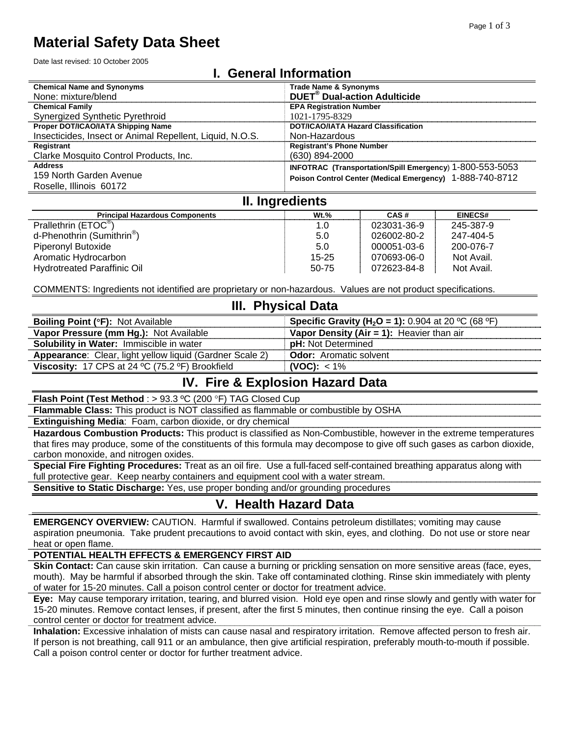# **Material Safety Data Sheet**

Date last revised: 10 October 2005

## **I. General Information**

| <b>Chemical Name and Synonyms</b>                        | <b>Trade Name &amp; Synonyms</b>                         |
|----------------------------------------------------------|----------------------------------------------------------|
| None: mixture/blend                                      | <b>DUET<sup>®</sup></b> Dual-action Adulticide           |
| <b>Chemical Family</b>                                   | <b>EPA Registration Number</b>                           |
| Synergized Synthetic Pyrethroid                          | 1021-1795-8329                                           |
| Proper DOT/ICAO/IATA Shipping Name                       | <b>DOT/ICAO/IATA Hazard Classification</b>               |
| Insecticides, Insect or Animal Repellent, Liquid, N.O.S. | Non-Hazardous                                            |
| Registrant                                               | <b>Registrant's Phone Number</b>                         |
| Clarke Mosquito Control Products, Inc.                   | $(630)$ 894-2000                                         |
| <b>Address</b>                                           | INFOTRAC (Transportation/Spill Emergency) 1-800-553-5053 |
| 159 North Garden Avenue                                  | Poison Control Center (Medical Emergency) 1-888-740-8712 |
| Roselle, Illinois 60172                                  |                                                          |

# **II. Ingredients**

| <b>Principal Hazardous Components</b>  | $Wt.$ %   | CAS#        | <b>EINECS#</b> |
|----------------------------------------|-----------|-------------|----------------|
| Prallethrin (ETOC <sup>®</sup> )       | 1.0       | 023031-36-9 | 245-387-9      |
| d-Phenothrin (Sumithrin <sup>o</sup> ) | 5.0       | 026002-80-2 | 247-404-5      |
| Piperonyl Butoxide                     | 5.0       | 000051-03-6 | 200-076-7      |
| Aromatic Hydrocarbon                   | $15 - 25$ | 070693-06-0 | Not Avail.     |
| Hydrotreated Paraffinic Oil            | 50-75     | 072623-84-8 | Not Avail.     |

COMMENTS: Ingredients not identified are proprietary or non-hazardous. Values are not product specifications.

#### **III. Physical Data**

| <b>Boiling Point (°F): Not Available</b>                        | <b>Specific Gravity (H<sub>2</sub>O = 1):</b> 0.904 at 20 °C (68 °F) |
|-----------------------------------------------------------------|----------------------------------------------------------------------|
| Vapor Pressure (mm Hg.): Not Available                          | <b>Vapor Density (Air = 1):</b> Heavier than air                     |
| <b>Solubility in Water: Immiscible in water</b>                 | <b>pH:</b> Not Determined                                            |
| <b>Appearance:</b> Clear, light yellow liquid (Gardner Scale 2) | <b>Odor:</b> Aromatic solvent                                        |
| Viscosity: 17 CPS at 24 °C (75.2 °F) Brookfield                 | (VOC): $<$ 1%                                                        |

## **IV. Fire & Explosion Hazard Data**

**Flash Point (Test Method** : > 93.3 ºC (200 °F) TAG Closed Cup

**Flammable Class:** This product is NOT classified as flammable or combustible by OSHA

**Extinguishing Media**: Foam, carbon dioxide, or dry chemical

**Hazardous Combustion Products:** This product is classified as Non-Combustible, however in the extreme temperatures that fires may produce, some of the constituents of this formula may decompose to give off such gases as carbon dioxide, carbon monoxide, and nitrogen oxides.

**Special Fire Fighting Procedures:** Treat as an oil fire. Use a full-faced self-contained breathing apparatus along with full protective gear. Keep nearby containers and equipment cool with a water stream.

**Sensitive to Static Discharge:** Yes, use proper bonding and/or grounding procedures

# **V. Health Hazard Data**

**EMERGENCY OVERVIEW:** CAUTION. Harmful if swallowed. Contains petroleum distillates; vomiting may cause aspiration pneumonia. Take prudent precautions to avoid contact with skin, eyes, and clothing. Do not use or store near heat or open flame.

#### **POTENTIAL HEALTH EFFECTS & EMERGENCY FIRST AID**

**Skin Contact:** Can cause skin irritation. Can cause a burning or prickling sensation on more sensitive areas (face, eyes, mouth). May be harmful if absorbed through the skin. Take off contaminated clothing. Rinse skin immediately with plenty of water for 15-20 minutes. Call a poison control center or doctor for treatment advice.

**Eye:** May cause temporary irritation, tearing, and blurred vision. Hold eye open and rinse slowly and gently with water for 15-20 minutes. Remove contact lenses, if present, after the first 5 minutes, then continue rinsing the eye. Call a poison control center or doctor for treatment advice.

**Inhalation:** Excessive inhalation of mists can cause nasal and respiratory irritation. Remove affected person to fresh air. If person is not breathing, call 911 or an ambulance, then give artificial respiration, preferably mouth-to-mouth if possible. Call a poison control center or doctor for further treatment advice.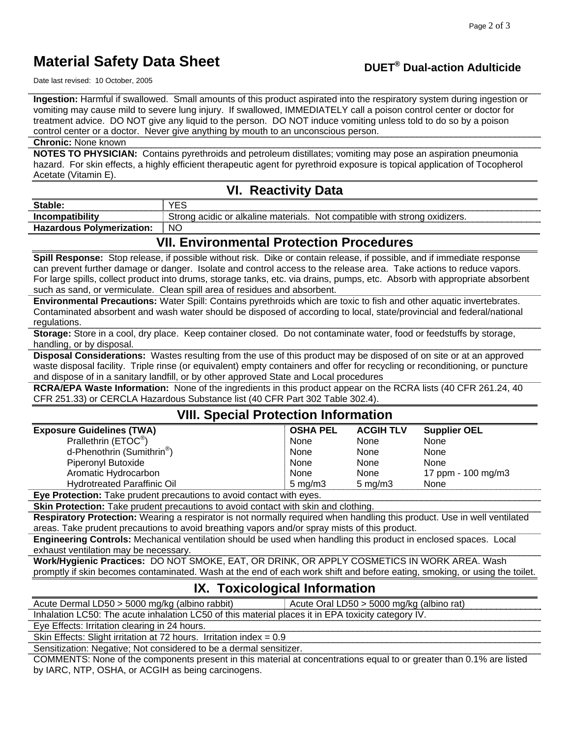# **Material Safety Data Sheet**

# **DUET® Dual-action Adulticide**

Date last revised: 10 October, 2005

**Ingestion:** Harmful if swallowed. Small amounts of this product aspirated into the respiratory system during ingestion or vomiting may cause mild to severe lung injury. If swallowed, IMMEDIATELY call a poison control center or doctor for treatment advice. DO NOT give any liquid to the person. DO NOT induce vomiting unless told to do so by a poison control center or a doctor. Never give anything by mouth to an unconscious person.

#### **Chronic:** None known

**NOTES TO PHYSICIAN:** Contains pyrethroids and petroleum distillates; vomiting may pose an aspiration pneumonia hazard. For skin effects, a highly efficient therapeutic agent for pyrethroid exposure is topical application of Tocopherol Acetate (Vitamin E).

#### **VI. Reactivity Data**

| Stable.                       | ື້                                                                                                       |
|-------------------------------|----------------------------------------------------------------------------------------------------------|
| atihilita<br>Inc(             | .<br>⊧or alkaline i<br>, materials<br>Not compatible<br>with<br>strona<br>Strona<br>acidic<br>oxidizers. |
| Hazardous Polvmeri<br>zatıon: | <b>NC</b>                                                                                                |

## **VII. Environmental Protection Procedures**

**Spill Response:** Stop release, if possible without risk. Dike or contain release, if possible, and if immediate response can prevent further damage or danger. Isolate and control access to the release area. Take actions to reduce vapors. For large spills, collect product into drums, storage tanks, etc. via drains, pumps, etc. Absorb with appropriate absorbent such as sand, or vermiculate. Clean spill area of residues and absorbent.

**Environmental Precautions:** Water Spill: Contains pyrethroids which are toxic to fish and other aquatic invertebrates. Contaminated absorbent and wash water should be disposed of according to local, state/provincial and federal/national regulations.

**Storage:** Store in a cool, dry place. Keep container closed. Do not contaminate water, food or feedstuffs by storage, handling, or by disposal.

**Disposal Considerations:** Wastes resulting from the use of this product may be disposed of on site or at an approved waste disposal facility. Triple rinse (or equivalent) empty containers and offer for recycling or reconditioning, or puncture and dispose of in a sanitary landfill, or by other approved State and Local procedures

**RCRA/EPA Waste Information:** None of the ingredients in this product appear on the RCRA lists (40 CFR 261.24, 40 CFR 251.33) or CERCLA Hazardous Substance list (40 CFR Part 302 Table 302.4).

#### **VIII. Special Protection Information**

| <b>Exposure Guidelines (TWA)</b>       | <b>OSHA PEL</b>    | <b>ACGIH TLV</b>   | <b>Supplier OEL</b> |
|----------------------------------------|--------------------|--------------------|---------------------|
| Prallethrin (ETOC®)                    | None               | <b>None</b>        | None                |
| d-Phenothrin (Sumithrin <sup>®</sup> ) | None               | None               | <b>None</b>         |
| <b>Piperonyl Butoxide</b>              | None               | None               | None                |
| Aromatic Hydrocarbon                   | None               | <b>None</b>        | 17 ppm - 100 mg/m3  |
| <b>Hydrotreated Paraffinic Oil</b>     | $5 \text{ ma/m}$ 3 | $5 \text{ ma/m}$ 3 | None                |

**Eye Protection:** Take prudent precautions to avoid contact with eyes.

**Skin Protection:** Take prudent precautions to avoid contact with skin and clothing.

**Respiratory Protection:** Wearing a respirator is not normally required when handling this product. Use in well ventilated areas. Take prudent precautions to avoid breathing vapors and/or spray mists of this product.

**Engineering Controls:** Mechanical ventilation should be used when handling this product in enclosed spaces. Local exhaust ventilation may be necessary.

**Work/Hygienic Practices:** DO NOT SMOKE, EAT, OR DRINK, OR APPLY COSMETICS IN WORK AREA. Wash promptly if skin becomes contaminated. Wash at the end of each work shift and before eating, smoking, or using the toilet.

## **IX. Toxicological Information**

Acute Dermal LD50 > 5000 mg/kg (albino rabbit) | Acute Oral LD50 > 5000 mg/kg (albino rat)

Inhalation LC50: The acute inhalation LC50 of this material places it in EPA toxicity category IV.

Eye Effects: Irritation clearing in 24 hours.

Skin Effects: Slight irritation at 72 hours. Irritation index = 0.9

Sensitization: Negative; Not considered to be a dermal sensitizer.

COMMENTS: None of the components present in this material at concentrations equal to or greater than 0.1% are listed by IARC, NTP, OSHA, or ACGIH as being carcinogens.